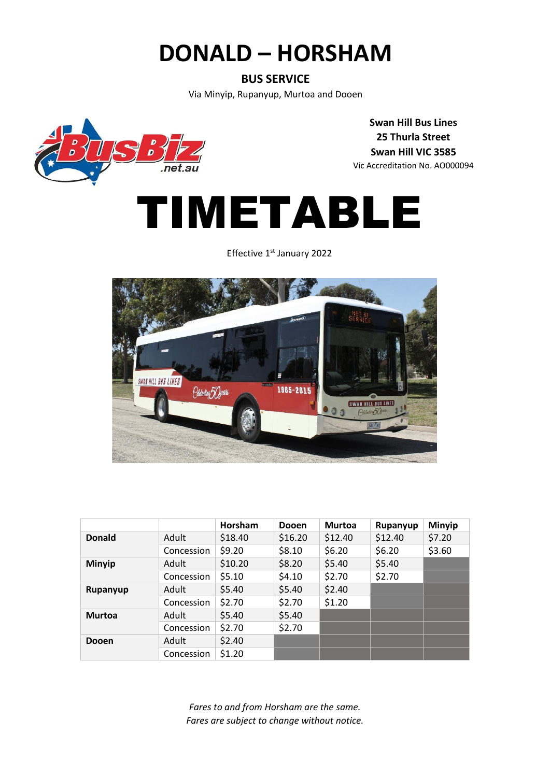## **DONALD – HORSHAM**

#### **BUS SERVICE**

Via Minyip, Rupanyup, Murtoa and Dooen



**Swan Hill Bus Lines 25 Thurla Street Swan Hill VIC 3585** Vic Accreditation No. AO000094

# TIMETABLE

Effective 1<sup>st</sup> January 2022



|               |            | Horsham | <b>Dooen</b> | <b>Murtoa</b> | Rupanyup | <b>Minyip</b> |
|---------------|------------|---------|--------------|---------------|----------|---------------|
| <b>Donald</b> | Adult      | \$18.40 | \$16.20      | \$12.40       | \$12.40  | \$7.20        |
|               | Concession | \$9.20  | \$8.10       | \$6.20        | \$6.20   | \$3.60        |
| <b>Minyip</b> | Adult      | \$10.20 | \$8.20       | \$5.40        | \$5.40   |               |
|               | Concession | \$5.10  | \$4.10       | \$2.70        | \$2.70   |               |
| Rupanyup      | Adult      | \$5.40  | \$5.40       | \$2.40        |          |               |
|               | Concession | \$2.70  | \$2.70       | \$1.20        |          |               |
| <b>Murtoa</b> | Adult      | \$5.40  | \$5.40       |               |          |               |
|               | Concession | \$2.70  | \$2.70       |               |          |               |
| <b>Dooen</b>  | Adult      | \$2.40  |              |               |          |               |
|               | Concession | \$1.20  |              |               |          |               |

*Fares to and from Horsham are the same. Fares are subject to change without notice.*